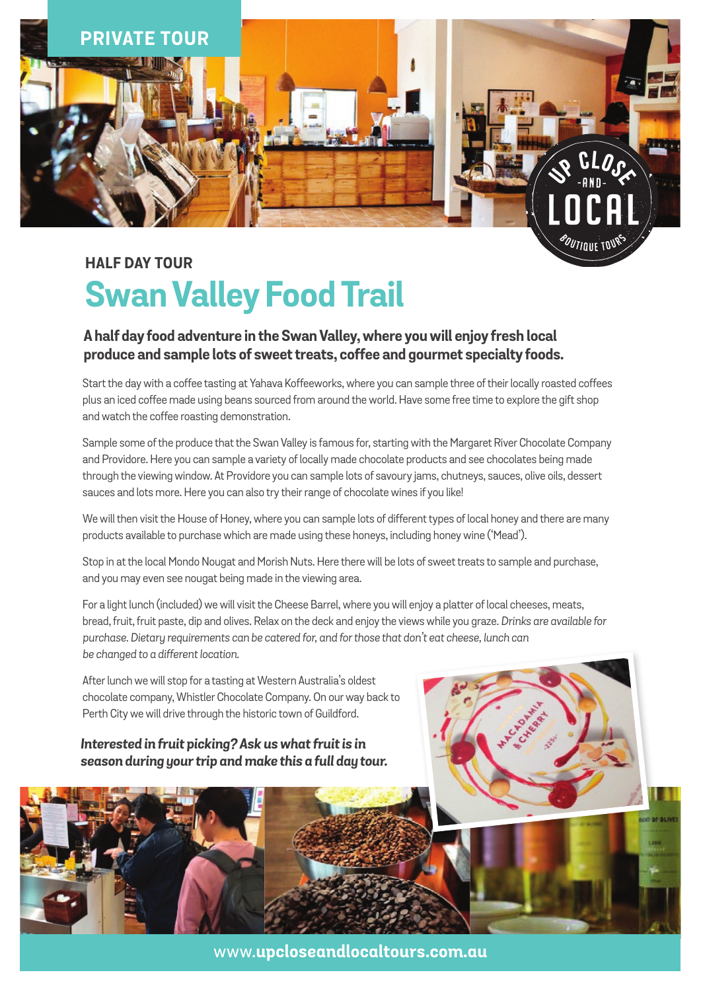

# **Half dAY TOUR Swan Valley Food Trail**

### **A half day food adventure in the Swan Valley, where you will enjoy fresh local produce and sample lots of sweet treats, coffee and gourmet specialty foods.**

Start the day with a coffee tasting at Yahava Koffeeworks, where you can sample three of their locally roasted coffees plus an iced coffee made using beans sourced from around the world. Have some free time to explore the gift shop and watch the coffee roasting demonstration.

Sample some of the produce that the Swan Valley is famous for, starting with the Margaret River Chocolate Company and Providore. Here you can sample a variety of locally made chocolate products and see chocolates being made through the viewing window. At Providore you can sample lots of savoury jams, chutneys, sauces, olive oils, dessert sauces and lots more. Here you can also try their range of chocolate wines if you like!

We will then visit the House of Honey, where you can sample lots of different types of local honey and there are many products available to purchase which are made using these honeys, including honey wine ('Mead').

Stop in at the local Mondo Nougat and Morish Nuts. Here there will be lots of sweet treats to sample and purchase, and you may even see nougat being made in the viewing area.

For a light lunch (included) we will visit the Cheese Barrel, where you will enjoy a platter of local cheeses, meats, bread, fruit, fruit paste, dip and olives. Relax on the deck and enjoy the views while you graze. *Drinks are available for purchase. Dietary requirements can be catered for, and for those that don't eat cheese, lunch can be changed to a different location.*

After lunch we will stop for a tasting at Western Australia's oldest chocolate company, Whistler Chocolate Company. On our way back to Perth City we will drive through the historic town of Guildford.

#### *Interested in fruit picking? Ask us what fruit is in season during your trip and make this a full day tour.*



www.**upcloseandlocaltours.com.au**